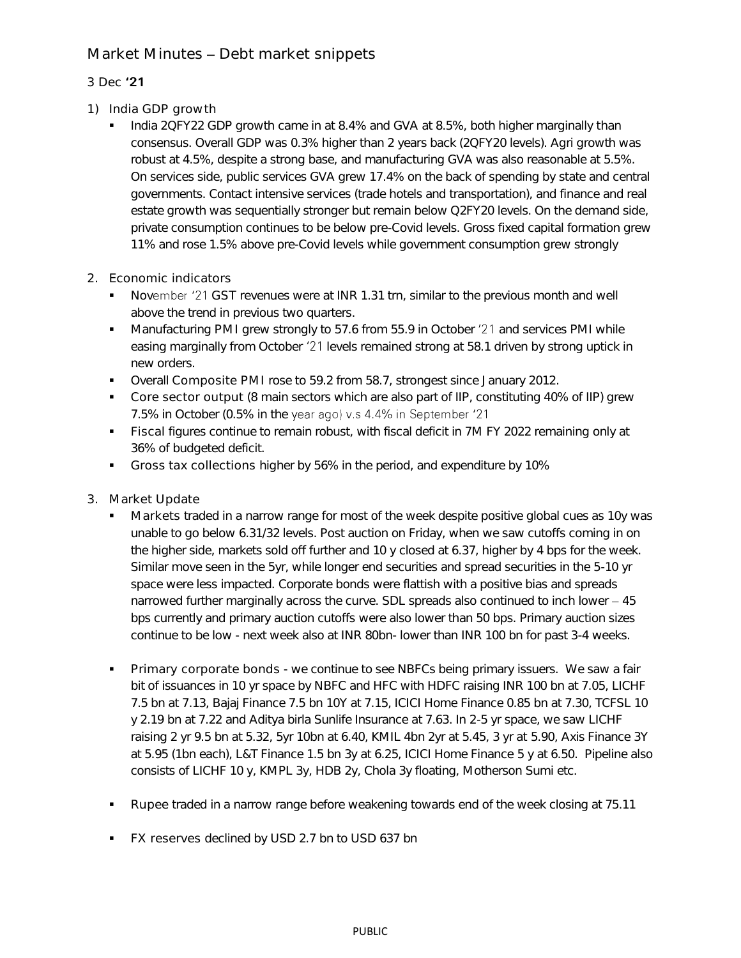## Market Minutes - Debt market snippets

## 3 Dec '21

- 1) India GDP growth
	- India 2QFY22 GDP growth came in at 8.4% and GVA at 8.5%, both higher marginally than consensus. Overall GDP was 0.3% higher than 2 years back (2QFY20 levels). Agri growth was robust at 4.5%, despite a strong base, and manufacturing GVA was also reasonable at 5.5%. On services side, public services GVA grew 17.4% on the back of spending by state and central governments. Contact intensive services (trade hotels and transportation), and finance and real estate growth was sequentially stronger but remain below Q2FY20 levels. On the demand side, private consumption continues to be below pre-Covid levels. Gross fixed capital formation grew 11% and rose 1.5% above pre-Covid levels while government consumption grew strongly
- 2. Economic indicators
	- November '21 GST revenues were at INR 1.31 trn, similar to the previous month and well above the trend in previous two quarters.
	- Manufacturing PMI grew strongly to 57.6 from 55.9 in October '21 and services PMI while easing marginally from October '21 levels remained strong at 58.1 driven by strong uptick in new orders.
	- Overall Composite PMI rose to 59.2 from 58.7, strongest since January 2012.
	- Core sector output (8 main sectors which are also part of IIP, constituting 40% of IIP) grew 7.5% in October (0.5% in the year ago) v.s 4.4% in September '21
	- Fiscal figures continue to remain robust, with fiscal deficit in 7M FY 2022 remaining only at 36% of budgeted deficit.
	- Gross tax collections higher by 56% in the period, and expenditure by 10%
- 3. Market Update
	- Markets traded in a narrow range for most of the week despite positive global cues as 10y was unable to go below 6.31/32 levels. Post auction on Friday, when we saw cutoffs coming in on the higher side, markets sold off further and 10 y closed at 6.37, higher by 4 bps for the week. Similar move seen in the 5yr, while longer end securities and spread securities in the 5-10 yr space were less impacted. Corporate bonds were flattish with a positive bias and spreads narrowed further marginally across the curve. SDL spreads also continued to inch lower  $-45$ bps currently and primary auction cutoffs were also lower than 50 bps. Primary auction sizes continue to be low - next week also at INR 80bn- lower than INR 100 bn for past 3-4 weeks.
	- Primary corporate bonds we continue to see NBFCs being primary issuers. We saw a fair bit of issuances in 10 yr space by NBFC and HFC with HDFC raising INR 100 bn at 7.05, LICHF 7.5 bn at 7.13, Bajaj Finance 7.5 bn 10Y at 7.15, ICICI Home Finance 0.85 bn at 7.30, TCFSL 10 y 2.19 bn at 7.22 and Aditya birla Sunlife Insurance at 7.63. In 2-5 yr space, we saw LICHF raising 2 yr 9.5 bn at 5.32, 5yr 10bn at 6.40, KMIL 4bn 2yr at 5.45, 3 yr at 5.90, Axis Finance 3Y at 5.95 (1bn each), L&T Finance 1.5 bn 3y at 6.25, ICICI Home Finance 5 y at 6.50. Pipeline also consists of LICHF 10 y, KMPL 3y, HDB 2y, Chola 3y floating, Motherson Sumi etc.
	- Rupee traded in a narrow range before weakening towards end of the week closing at 75.11
	- **FX reserves declined by USD 2.7 bn to USD 637 bn**